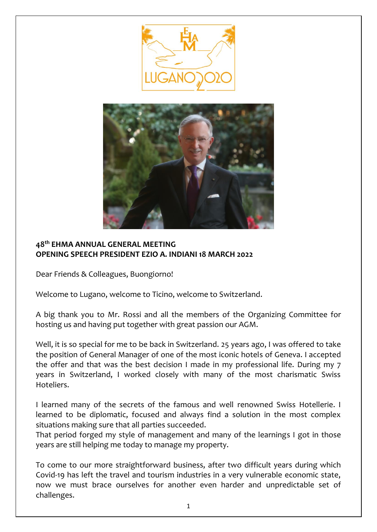



## **48th EHMA ANNUAL GENERAL MEETING OPENING SPEECH PRESIDENT EZIO A. INDIANI 18 MARCH 2022**

Dear Friends & Colleagues, Buongiorno!

Welcome to Lugano, welcome to Ticino, welcome to Switzerland.

A big thank you to Mr. Rossi and all the members of the Organizing Committee for hosting us and having put together with great passion our AGM.

Well, it is so special for me to be back in Switzerland. 25 years ago, I was offered to take the position of General Manager of one of the most iconic hotels of Geneva. I accepted the offer and that was the best decision I made in my professional life. During my 7 years in Switzerland, I worked closely with many of the most charismatic Swiss Hoteliers.

I learned many of the secrets of the famous and well renowned Swiss Hotellerie. I learned to be diplomatic, focused and always find a solution in the most complex situations making sure that all parties succeeded.

That period forged my style of management and many of the learnings I got in those years are still helping me today to manage my property.

To come to our more straightforward business, after two difficult years during which Covid-19 has left the travel and tourism industries in a very vulnerable economic state, now we must brace ourselves for another even harder and unpredictable set of challenges.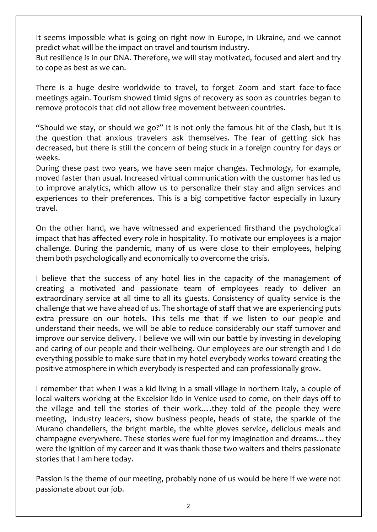It seems impossible what is going on right now in Europe, in Ukraine, and we cannot predict what will be the impact on travel and tourism industry.

But resilience is in our DNA. Therefore, we will stay motivated, focused and alert and try to cope as best as we can.

There is a huge desire worldwide to travel, to forget Zoom and start face-to-face meetings again. Tourism showed timid signs of recovery as soon as countries began to remove protocols that did not allow free movement between countries.

"Should we stay, or should we go?" It is not only the famous hit of the Clash, but it is the question that anxious travelers ask themselves. The fear of getting sick has decreased, but there is still the concern of being stuck in a foreign country for days or weeks.

During these past two years, we have seen major changes. Technology, for example, moved faster than usual. Increased virtual communication with the customer has led us to improve analytics, which allow us to personalize their stay and align services and experiences to their preferences. This is a big competitive factor especially in luxury travel.

On the other hand, we have witnessed and experienced firsthand the psychological impact that has affected every role in hospitality. To motivate our employees is a major challenge. During the pandemic, many of us were close to their employees, helping them both psychologically and economically to overcome the crisis.

I believe that the success of any hotel lies in the capacity of the management of creating a motivated and passionate team of employees ready to deliver an extraordinary service at all time to all its guests. Consistency of quality service is the challenge that we have ahead of us. The shortage of staff that we are experiencing puts extra pressure on our hotels. This tells me that if we listen to our people and understand their needs, we will be able to reduce considerably our staff turnover and improve our service delivery. I believe we will win our battle by investing in developing and caring of our people and their wellbeing. Our employees are our strength and I do everything possible to make sure that in my hotel everybody works toward creating the positive atmosphere in which everybody is respected and can professionally grow.

I remember that when I was a kid living in a small village in northern Italy, a couple of local waiters working at the Excelsior lido in Venice used to come, on their days off to the village and tell the stories of their work….they told of the people they were meeting, industry leaders, show business people, heads of state, the sparkle of the Murano chandeliers, the bright marble, the white gloves service, delicious meals and champagne everywhere. These stories were fuel for my imagination and dreams…they were the ignition of my career and it was thank those two waiters and theirs passionate stories that I am here today.

Passion is the theme of our meeting, probably none of us would be here if we were not passionate about our job.